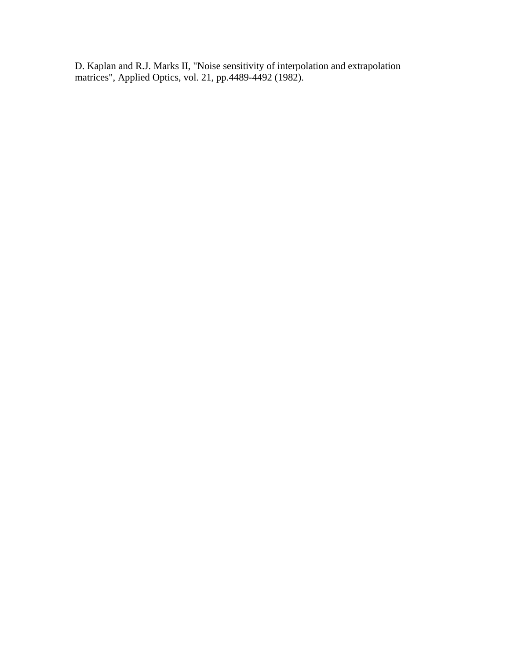D. Kaplan and R.J. Marks II, "Noise sensitivity of interpolation and extrapolation matrices", Applied Optics, vol. 21, pp.4489-4492 (1982).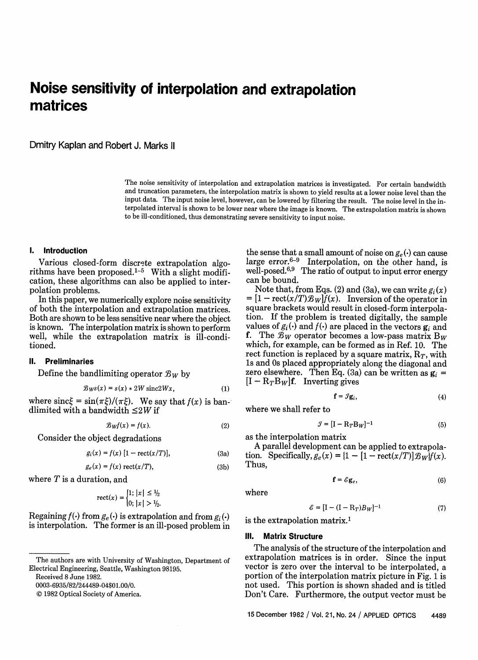# **Noise sensitivity of interpolation and extrapolation matrices**

Dmitry Kaplan and Robert J. Marks 11

The noise sensitivity of interpolation and extrapolation matrices is investigated. For certain bandwidth and truncation parameters, the interpolation matrix is shown to yield results at a lower noise level than the input data. The input noise level, however, can be lowered by filtering the result. The noise level in the interpolated interval is shown to be lower near where the image is known. The extrapolation matrix is shown to be ill-conditioned, thus demonstrating severe sensitivity to input noise.

## **1. Introduction**

Various closed-form discrete extrapolation algorithms have been proposed.<sup>1-5</sup> With a slight modification, these algorithms can also be applied to interpolation problems.

In this paper, we numerically explore noise sensitivity of both the interpolation and extrapolation matrices. Both are shown to be less sensitive near where the object is known. The interpolation matrix is shown to perform well, while the extrapolation matrix is ill-conditioned.

# 1. **Preliminaries**

Define the bandlimiting operator  $\mathcal{B}_W$  by

$$
B_{W^S}(x) = s(x) * 2W \operatorname{sinc} 2Wx, \qquad (1)
$$

where  $\text{sinc}\xi = \sin(\pi \xi)/(\pi \xi)$ . We say that  $f(x)$  is bandlimited with a bandwidth  $\leq$ 2W if

$$
\mathcal{B}_W f(x) = f(x). \tag{2}
$$

Consider the object degradations

$$
g_i(x) = f(x) \left[ 1 - \text{rect}(x/T) \right],\tag{3a}
$$

$$
g_e(x) = f(x) \operatorname{rect}(x/T), \tag{3b}
$$

where  $T$  is a duration, and

$$
\text{rect}(x) = \begin{cases} 1; |x| \le \frac{1}{2} \\ 0; |x| > \frac{1}{2} \end{cases}
$$

Regaining  $f(\cdot)$  from  $g_e(\cdot)$  is extrapolation and from  $g_i(\cdot)$ is interpolation. The former is an ill-posed problem in

Received 8 June 1982.

0003-6935/82/244489-04\$01.00/0.

© 1982 Optical Society of America.

the sense that a small amount of noise on  $g_e(\cdot)$  can cause large error.<sup>6-9</sup> Interpolation, on the other hand, is well-posed.<sup>6,9</sup> The ratio of output to input error energy can be bound.

Note that, from Eqs. (2) and (3a), we can write  $g_i(x)$  $= [1 - \text{rect}(x/T) \mathcal{B}_W] \hat{f}(x)$ . Inversion of the operator in square brackets would result in closed-form interpolation. If the problem is treated digitally, the sample values of  $g_i(\cdot)$  and  $f(\cdot)$  are placed in the vectors  $g_i$  and **f.** The  $\mathcal{B}_W$  operator becomes a low-pass matrix B<sub>W</sub> which, for example, can be formed as in Ref. 10. The rect function is replaced by a square matrix,  $R_T$ , with is and Os placed appropriately along the diagonal and zero elsewhere. Then Eq.  $(3a)$  can be written as  $g_i =$  $[I - R_TB_W]$ f. Inverting gives

$$
\mathbf{f} = \mathcal{I}\mathbf{g}_i,\tag{4}
$$

where we shall refer to

$$
\mathcal{I} = [\mathbf{I} - \mathbf{R}_T \mathbf{B}_W]^{-1} \tag{5}
$$

as the interpolation matrix

A parallel development can be applied to extrapola tion. Specifically,  $g_e(x) = \{1 - [1 - \text{rect}(x/T)]\mathcal{B}_W\}f(x)$ . Thus.

$$
\mathbf{f} = \mathcal{E}\mathbf{g}_e,\tag{6}
$$

where

$$
\mathcal{E} = \left[\mathbf{I} - (\mathbf{I} - \mathbf{R}_T)B_W\right]^{-1} \tag{7}
$$

is the extrapolation matrix.<sup>1</sup>

#### **Ill. Matrix Structure**

The analysis of the structure of the interpolation and extrapolation matrices is in order. Since the input vector is zero over the interval to be interpolated, a portion of the interpolation matrix picture in Fig. 1 is not used. This portion is shown shaded and is titled Don't Care. Furthermore, the output vector must be

15 December 1982 / Vol. 21, No. 24 / APPLIED OPTICS 4489

The authors are with University of Washington, Department of Electrical Engineering, Seattle, Washington 98195.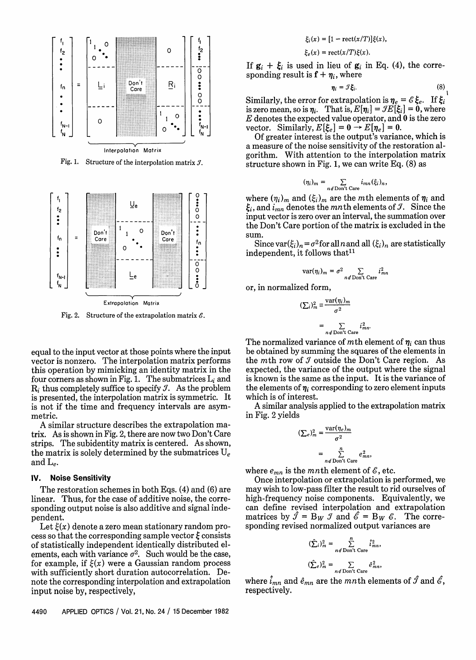

Fig. 1. Structure of the interpolation matrix  $\mathcal{I}$ .



Fig. 2. Structure of the extrapolation matrix  $\mathcal{E}$ .

equal to the input vector at those points where the input vector is nonzero. The interpolation matrix performs this operation by mimicking an identity matrix in the four corners as shown in Fig. 1. The submatrices  $L_i$  and  $R_i$  thus completely suffice to specify  $\mathcal{I}$ . As the problem is presented, the interpolation matrix is symmetric. It is not if the time and frequency intervals are asymmetric.

A similar structure describes the extrapolation matrix. As is shown in Fig. 2, there are now two Don't Care strips. The subidentity matrix is centered. As shown, the matrix is solely determined by the submatrices  $U_e$ and  $L_e$ .

#### **Noise Sensitivity** IV.

The restoration schemes in both Eqs.  $(4)$  and  $(6)$  are linear. Thus, for the case of additive noise, the corresponding output noise is also additive and signal independent.

Let  $\xi(x)$  denote a zero mean stationary random process so that the corresponding sample vector  $\xi$  consists of statistically independent identically distributed elements, each with variance  $\sigma^2$ . Such would be the case, for example, if  $\xi(x)$  were a Gaussian random process with sufficiently short duration autocorrelation. Denote the corresponding interpolation and extrapolation input noise by, respectively,

$$
\xi_i(x) = [1 - \mathrm{rect}(x/T)]\xi(x),
$$

$$
\xi_e(x) = \mathrm{rect}(x/T)\xi(x).
$$

If  $\mathbf{g}_i + \xi_i$  is used in lieu of  $\mathbf{g}_i$  in Eq. (4), the corresponding result is  $f + \eta_i$ , where

$$
\eta_i = \mathcal{I}\xi_i. \tag{8}
$$

Similarly, the error for extrapolation is  $\eta_e = \mathcal{E} \xi_e$ . If  $\xi_i$  is zero mean, so is  $\eta_i$ . That is,  $E[\eta_i] = \mathcal{I}E[\xi_i] = 0$ , where  $E$  denotes the expected value operator, and 0 is the zero vector. Similarly,  $E[\xi_e] = 0 \rightarrow E[\eta_e] = 0$ .

Of greater interest is the output's variance, which is a measure of the noise sensitivity of the restoration algorithm. With attention to the interpolation matrix structure shown in Fig. 1, we can write Eq. (8) as

$$
(\eta_i)_m = \sum_{n \notin \text{Don't Care}} i_{mn}(\xi_i)_n,
$$

where  $(\eta_i)_m$  and  $(\xi_i)_m$  are the mth elements of  $\eta_i$  and  $\xi_i$ , and  $i_{mn}$  denotes the mnth elements of  $\mathcal{I}$ . Since the input vector is zero over an interval, the summation over the Don't Care portion of the matrix is excluded in the sum.

Since var $(\xi_i)_n = \sigma^2$  for all *n* and all  $(\xi_i)_n$  are statistically independent, it follows that<sup>11</sup>

$$
ar(\eta_i)_m = \sigma^2 \sum_{n \notin \text{Don't Care}} i_{mn}^2
$$

or, in normalized form,

$$
(\sum_{i})_{m}^{2} \equiv \frac{\text{var}(\eta_{i})_{m}}{\sigma^{2}}
$$

$$
= \sum_{n \neq \text{Der}^{*} \text{Core}} i_{mn}^{2}
$$

The normalized variance of mth element of  $\eta_i$  can thus be obtained by summing the squares of the elements in the mth row of  $\mathcal I$  outside the Don't Care region. As expected, the variance of the output where the signal is known is the same as the input. It is the variance of the elements of  $\eta_i$  corresponding to zero element inputs which is of interest.

A similar analysis applied to the extrapolation matrix in Fig. 2 yields

$$
(\sum e)^2_m = \frac{\text{var}(\eta_e)_m}{\sigma^2}
$$

$$
= \sum_{n \neq 0}^n \sum_{\text{Der}^{\prime} \text{Care}} e^2_n
$$

where  $e_{mn}$  is the mnth element of  $\mathscr E$ , etc.

Once interpolation or extrapolation is performed, we may wish to low-pass filter the result to rid ourselves of high-frequency noise components. Equivalently, we can define revised interpolation and extrapolation matrices by  $\hat{\mathcal{I}} = B_W \mathcal{I}$  and  $\hat{\mathcal{E}} = B_W \mathcal{E}$ . The corresponding revised normalized output variances are

$$
(\hat{\sum}_{i})_{m}^{2} = \sum_{n \notin \text{ Don't Care}}^{n} \hat{i}_{mn}^{2},
$$

$$
(\hat{\sum}_{e})_{m}^{2} = \sum_{n \notin \text{ Don't Care}} \hat{e}_{mn}^{2},
$$

where  $\hat{i}_{mn}$  and  $\hat{e}_{mn}$  are the mnth elements of  $\hat{\mathcal{I}}$  and  $\hat{\mathcal{E}}$ , respectively.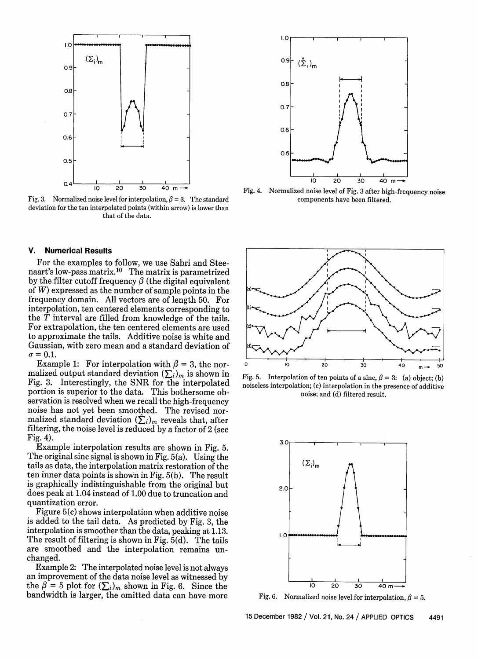

Fig. 3. Normalized noise level for interpolation,  $\beta = 3$ . The standard deviation for the ten interpolated points (within arrow) is lower than that of the data.

### **V. Numerical Results**

For the examples to follow, we use Sabri and Steenaart's low-pass matrix.10 The matrix is parametrized by the filter cutoff frequency  $\beta$  (the digital equivalent of W) expressed as the number of sample points in the frequency domain. All vectors are of length 50. For interpolation, ten centered elements corresponding to the T interval are filled from knowledge of the tails. For extrapolation, the ten centered elements are used to approximate the tails. Additive noise is white and Gaussian, with zero mean and a standard deviation of  $\sigma = 0.1$ .

Example 1: For interpolation with  $\beta = 3$ , the normalized output standard deviation  $(\sum_i)_m$  is shown in Fig. 3. Interestingly, the SNR for the interpolated portion is superior to the data. This bothersome observation is resolved when we recall the high-frequency noise has not yet been smoothed. The revised normalized standard deviation  $(\hat{\Sigma}_i)_m$  reveals that, after filtering, the noise level is reduced by a factor of 2 (see Fig. 4).

Example interpolation results are shown in Fig. 5. The original sinc signal is shown in Fig. 5(a). Using the tails as data, the interpolation matrix restoration of the ten inner data points is shown in Fig. 5(b). The result is graphically indistinguishable from the original but does peak at 1.04 instead of 1.00 due to truncation and quantization error.

Figure 5(c) shows interpolation when additive noise is added to the tail data. As predicted by Fig. 3, the interpolation is smoother than the data, peaking at 1.13. The result of filtering is shown in Fig. 5(d). The tails are smoothed and the interpolation remains unchanged.

Example 2: The interpolated noise level is not always an improvement of the data noise level as witnessed by the  $\beta = 5$  plot for  $(\sum_i)_m$  shown in Fig. 6. Since the bandwidth is larger, the omitted data can have more



Fig. 4. Normalized noise level of Fig. 3 after high-frequency noise components have been filtered.



Fig. 5. Interpolation of ten points of a sinc,  $\beta = 3$ : (a) object; (b) noiseless interpolation; (c) interpolation in the presence of additive noise; and (d) filtered result.



Fig. 6. Normalized noise level for interpolation,  $\beta = 5$ .